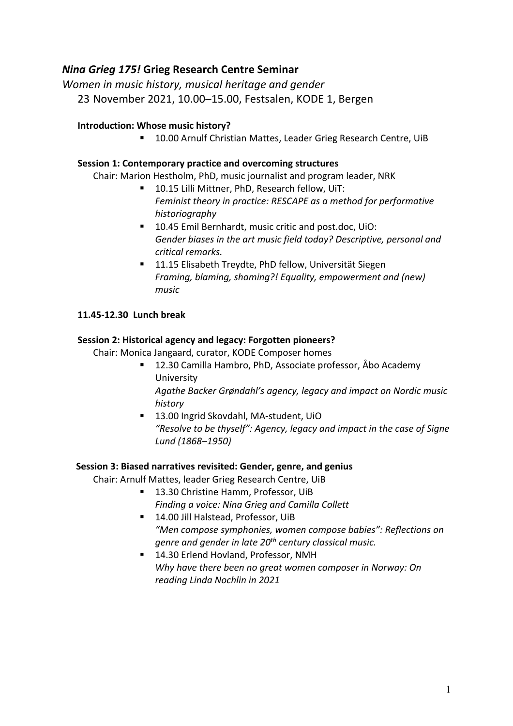## *Nina Grieg 175!* **Grieg Research Centre Seminar**

*Women in music history, musical heritage and gender* 23 November 2021, 10.00–15.00, Festsalen, KODE 1, Bergen

## **Introduction: Whose music history?**

■ 10.00 Arnulf Christian Mattes, Leader Grieg Research Centre, UiB

#### **Session 1: Contemporary practice and overcoming structures**

Chair: Marion Hestholm, PhD, music journalist and program leader, NRK

- § 10.15 Lilli Mittner, PhD, Research fellow, UiT: *Feminist theory in practice: RESCAPE as a method for performative historiography*
- 10.45 Emil Bernhardt, music critic and post.doc, UiO: *Gender biases in the art music field today? Descriptive, personal and critical remarks.*
- 11.15 Elisabeth Treydte, PhD fellow, Universität Siegen *Framing, blaming, shaming?! Equality, empowerment and (new) music*

## **11.45-12.30 Lunch break**

## **Session 2: Historical agency and legacy: Forgotten pioneers?**

Chair: Monica Jangaard, curator, KODE Composer homes

- 12.30 Camilla Hambro, PhD, Associate professor, Åbo Academy University *Agathe Backer Grøndahl's agency, legacy and impact on Nordic music history*
- 13.00 Ingrid Skovdahl, MA-student, UiO *"Resolve to be thyself": Agency, legacy and impact in the case of Signe Lund (1868–1950)*

#### **Session 3: Biased narratives revisited: Gender, genre, and genius**

Chair: Arnulf Mattes, leader Grieg Research Centre, UiB

- § 13.30 Christine Hamm, Professor, UiB *Finding a voice: Nina Grieg and Camilla Collett*
- 14.00 Jill Halstead, Professor, UiB *"Men compose symphonies, women compose babies": Reflections on genre and gender in late 20th century classical music.*
- 14.30 Erlend Hovland, Professor, NMH *Why have there been no great women composer in Norway: On reading Linda Nochlin in 2021*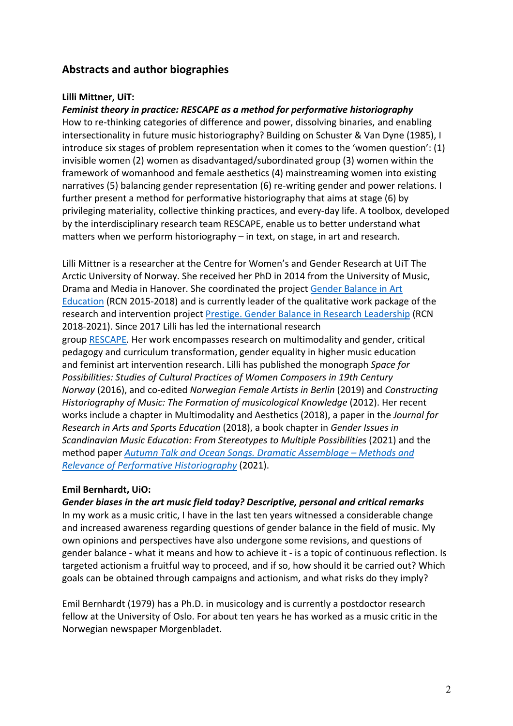# **Abstracts and author biographies**

#### **Lilli Mittner, UiT:**

## *Feminist theory in practice: RESCAPE as a method for performative historiography*

How to re-thinking categories of difference and power, dissolving binaries, and enabling intersectionality in future music historiography? Building on Schuster & Van Dyne (1985), I introduce six stages of problem representation when it comes to the 'women question': (1) invisible women (2) women as disadvantaged/subordinated group (3) women within the framework of womanhood and female aesthetics (4) mainstreaming women into existing narratives (5) balancing gender representation (6) re-writing gender and power relations. I further present a method for performative historiography that aims at stage (6) by privileging materiality, collective thinking practices, and every-day life. A toolbox, developed by the interdisciplinary research team RESCAPE, enable us to better understand what matters when we perform historiography – in text, on stage, in art and research.

Lilli Mittner is a researcher at the Centre for Women's and Gender Research at UiT The Arctic University of Norway. She received her PhD in 2014 from the University of Music, Drama and Media in Hanover. She coordinated the project Gender Balance in Art Education (RCN 2015-2018) and is currently leader of the qualitative work package of the research and intervention project Prestige. Gender Balance in Research Leadership (RCN 2018-2021). Since 2017 Lilli has led the international research group RESCAPE*.* Her work encompasses research on multimodality and gender, critical pedagogy and curriculum transformation, gender equality in higher music education and feminist art intervention research. Lilli has published the monograph *Space for Possibilities: Studies of Cultural Practices of Women Composers in 19th Century Norway* (2016), and co-edited *Norwegian Female Artists in Berlin* (2019) and *Constructing Historiography of Music: The Formation of musicological Knowledge* (2012). Her recent works include a chapter in Multimodality and Aesthetics (2018), a paper in the *Journal for Research in Arts and Sports Education* (2018), a book chapter in *Gender Issues in Scandinavian Music Education: From Stereotypes to Multiple Possibilities* (2021) and the method paper *Autumn Talk and Ocean Songs. Dramatic Assemblage – Methods and Relevance of Performative Historiography* (2021).

#### **Emil Bernhardt, UiO:**

#### *Gender biases in the art music field today? Descriptive, personal and critical remarks*

In my work as a music critic, I have in the last ten years witnessed a considerable change and increased awareness regarding questions of gender balance in the field of music. My own opinions and perspectives have also undergone some revisions, and questions of gender balance - what it means and how to achieve it - is a topic of continuous reflection. Is targeted actionism a fruitful way to proceed, and if so, how should it be carried out? Which goals can be obtained through campaigns and actionism, and what risks do they imply?

Emil Bernhardt (1979) has a Ph.D. in musicology and is currently a postdoctor research fellow at the University of Oslo. For about ten years he has worked as a music critic in the Norwegian newspaper Morgenbladet.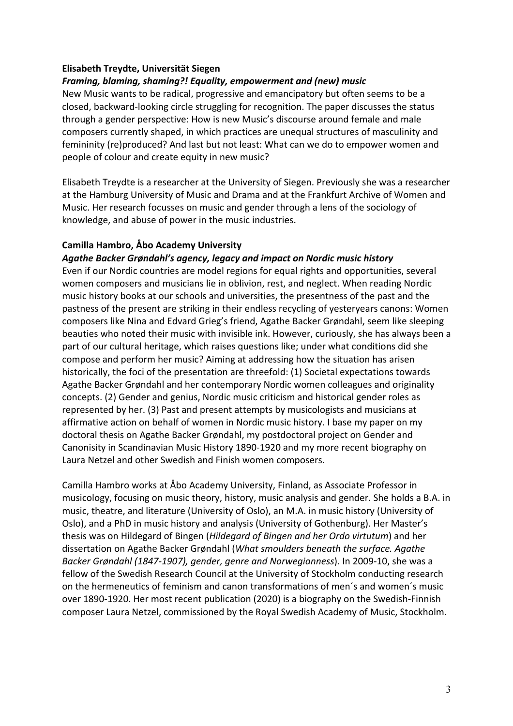## **Elisabeth Treydte, Universität Siegen**

## *Framing, blaming, shaming?! Equality, empowerment and (new) music*

New Music wants to be radical, progressive and emancipatory but often seems to be a closed, backward-looking circle struggling for recognition. The paper discusses the status through a gender perspective: How is new Music's discourse around female and male composers currently shaped, in which practices are unequal structures of masculinity and femininity (re)produced? And last but not least: What can we do to empower women and people of colour and create equity in new music?

Elisabeth Treydte is a researcher at the University of Siegen. Previously she was a researcher at the Hamburg University of Music and Drama and at the Frankfurt Archive of Women and Music. Her research focusses on music and gender through a lens of the sociology of knowledge, and abuse of power in the music industries.

## **Camilla Hambro, Åbo Academy University**

#### *Agathe Backer Grøndahl's agency, legacy and impact on Nordic music history*

Even if our Nordic countries are model regions for equal rights and opportunities, several women composers and musicians lie in oblivion, rest, and neglect. When reading Nordic music history books at our schools and universities, the presentness of the past and the pastness of the present are striking in their endless recycling of yesteryears canons: Women composers like Nina and Edvard Grieg's friend, Agathe Backer Grøndahl, seem like sleeping beauties who noted their music with invisible ink. However, curiously, she has always been a part of our cultural heritage, which raises questions like; under what conditions did she compose and perform her music? Aiming at addressing how the situation has arisen historically, the foci of the presentation are threefold: (1) Societal expectations towards Agathe Backer Grøndahl and her contemporary Nordic women colleagues and originality concepts. (2) Gender and genius, Nordic music criticism and historical gender roles as represented by her. (3) Past and present attempts by musicologists and musicians at affirmative action on behalf of women in Nordic music history. I base my paper on my doctoral thesis on Agathe Backer Grøndahl, my postdoctoral project on Gender and Canonisity in Scandinavian Music History 1890-1920 and my more recent biography on Laura Netzel and other Swedish and Finish women composers.

Camilla Hambro works at Åbo Academy University, Finland, as Associate Professor in musicology, focusing on music theory, history, music analysis and gender. She holds a B.A. in music, theatre, and literature (University of Oslo), an M.A. in music history (University of Oslo), and a PhD in music history and analysis (University of Gothenburg). Her Master's thesis was on Hildegard of Bingen (*Hildegard of Bingen and her Ordo virtutum*) and her dissertation on Agathe Backer Grøndahl (*What smoulders beneath the surface. Agathe Backer Grøndahl (1847-1907), gender, genre and Norwegianness*). In 2009-10, she was a fellow of the Swedish Research Council at the University of Stockholm conducting research on the hermeneutics of feminism and canon transformations of men´s and women´s music over 1890-1920. Her most recent publication (2020) is a biography on the Swedish-Finnish composer Laura Netzel, commissioned by the Royal Swedish Academy of Music, Stockholm.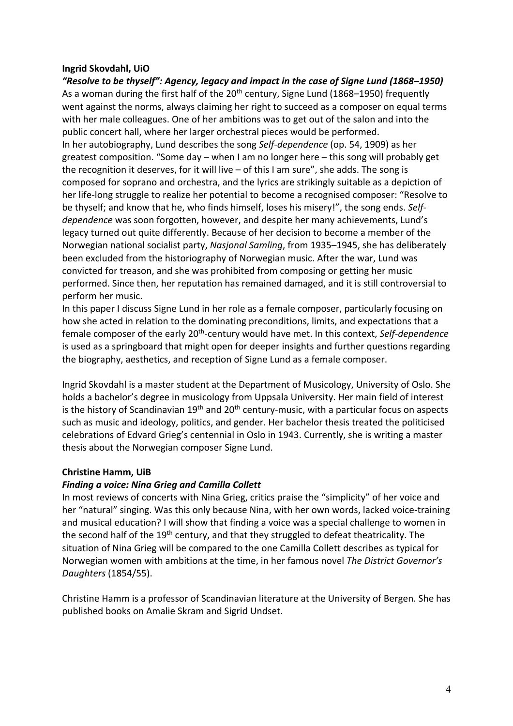## **Ingrid Skovdahl, UiO**

*"Resolve to be thyself": Agency, legacy and impact in the case of Signe Lund (1868–1950)* As a woman during the first half of the 20<sup>th</sup> century, Signe Lund (1868–1950) frequently went against the norms, always claiming her right to succeed as a composer on equal terms with her male colleagues. One of her ambitions was to get out of the salon and into the public concert hall, where her larger orchestral pieces would be performed. In her autobiography, Lund describes the song *Self-dependence* (op. 54, 1909) as her greatest composition. "Some day – when I am no longer here – this song will probably get the recognition it deserves, for it will live – of this I am sure", she adds. The song is composed for soprano and orchestra, and the lyrics are strikingly suitable as a depiction of her life-long struggle to realize her potential to become a recognised composer: "Resolve to be thyself; and know that he, who finds himself, loses his misery!", the song ends. *Selfdependence* was soon forgotten, however, and despite her many achievements, Lund's legacy turned out quite differently. Because of her decision to become a member of the Norwegian national socialist party, *Nasjonal Samling*, from 1935–1945, she has deliberately been excluded from the historiography of Norwegian music. After the war, Lund was convicted for treason, and she was prohibited from composing or getting her music performed. Since then, her reputation has remained damaged, and it is still controversial to perform her music.

In this paper I discuss Signe Lund in her role as a female composer, particularly focusing on how she acted in relation to the dominating preconditions, limits, and expectations that a female composer of the early 20th-century would have met. In this context, *Self-dependence* is used as a springboard that might open for deeper insights and further questions regarding the biography, aesthetics, and reception of Signe Lund as a female composer.

Ingrid Skovdahl is a master student at the Department of Musicology, University of Oslo. She holds a bachelor's degree in musicology from Uppsala University. Her main field of interest is the history of Scandinavian  $19<sup>th</sup>$  and  $20<sup>th</sup>$  century-music, with a particular focus on aspects such as music and ideology, politics, and gender. Her bachelor thesis treated the politicised celebrations of Edvard Grieg's centennial in Oslo in 1943. Currently, she is writing a master thesis about the Norwegian composer Signe Lund.

#### **Christine Hamm, UiB**

#### *Finding a voice: Nina Grieg and Camilla Collett*

In most reviews of concerts with Nina Grieg, critics praise the "simplicity" of her voice and her "natural" singing. Was this only because Nina, with her own words, lacked voice-training and musical education? I will show that finding a voice was a special challenge to women in the second half of the 19<sup>th</sup> century, and that they struggled to defeat theatricality. The situation of Nina Grieg will be compared to the one Camilla Collett describes as typical for Norwegian women with ambitions at the time, in her famous novel *The District Governor's Daughters* (1854/55).

Christine Hamm is a professor of Scandinavian literature at the University of Bergen. She has published books on Amalie Skram and Sigrid Undset.